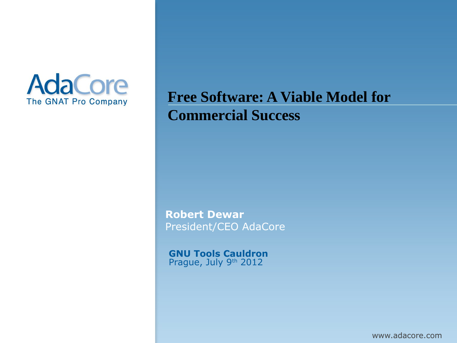

### **Free Software: A Viable Model for Commercial Success**

**Robert Dewar** President/CEO AdaCore

**GNU Tools Cauldron** Prague, July 9th 2012

www.adacore.com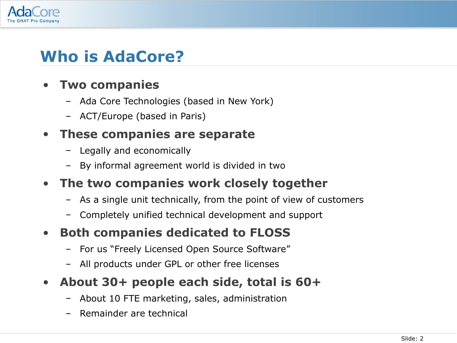

# **Who is AdaCore?**

#### • **Two companies**

- Ada Core Technologies (based in New York)
- ACT/Europe (based in Paris)

#### • **These companies are separate**

- Legally and economically
- By informal agreement world is divided in two
- **The two companies work closely together**
	- As a single unit technically, from the point of view of customers
	- Completely unified technical development and support
- **Both companies dedicated to FLOSS**
	- For us "Freely Licensed Open Source Software"
	- All products under GPL or other free licenses
- **About 30+ people each side, total is 60+**
	- About 10 FTE marketing, sales, administration
	- Remainder are technical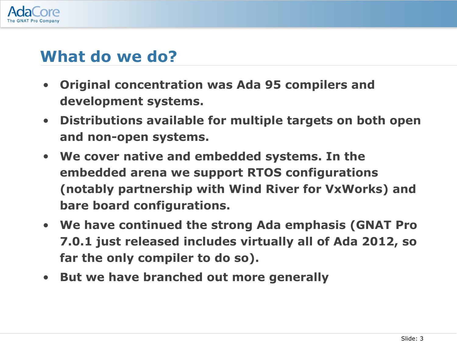

### **What do we do?**

- **Original concentration was Ada 95 compilers and development systems.**
- **Distributions available for multiple targets on both open and non-open systems.**
- **We cover native and embedded systems. In the embedded arena we support RTOS configurations (notably partnership with Wind River for VxWorks) and bare board configurations.**
- **We have continued the strong Ada emphasis (GNAT Pro 7.0.1 just released includes virtually all of Ada 2012, so far the only compiler to do so).**
- **But we have branched out more generally**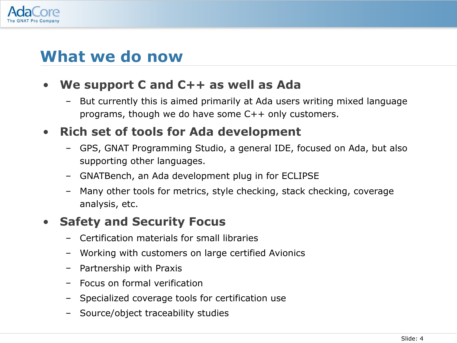

### **What we do now**

#### • **We support C and C++ as well as Ada**

– But currently this is aimed primarily at Ada users writing mixed language programs, though we do have some C++ only customers.

#### • **Rich set of tools for Ada development**

- GPS, GNAT Programming Studio, a general IDE, focused on Ada, but also supporting other languages.
- GNATBench, an Ada development plug in for ECLIPSE
- Many other tools for metrics, style checking, stack checking, coverage analysis, etc.

#### • **Safety and Security Focus**

- Certification materials for small libraries
- Working with customers on large certified Avionics
- Partnership with Praxis
- Focus on formal verification
- Specialized coverage tools for certification use
- Source/object traceability studies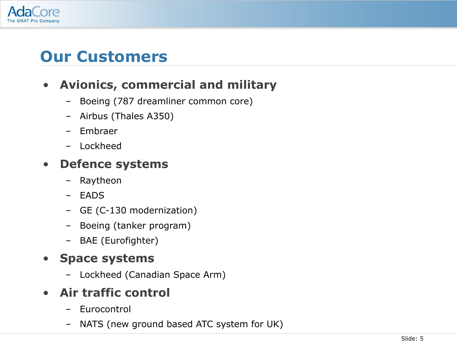

# **Our Customers**

### • **Avionics, commercial and military**

- Boeing (787 dreamliner common core)
- Airbus (Thales A350)
- Embraer
- Lockheed

#### • **Defence systems**

- Raytheon
- EADS
- GE (C-130 modernization)
- Boeing (tanker program)
- BAE (Eurofighter)

#### • **Space systems**

- Lockheed (Canadian Space Arm)
- **Air traffic control**
	- Eurocontrol
	- NATS (new ground based ATC system for UK)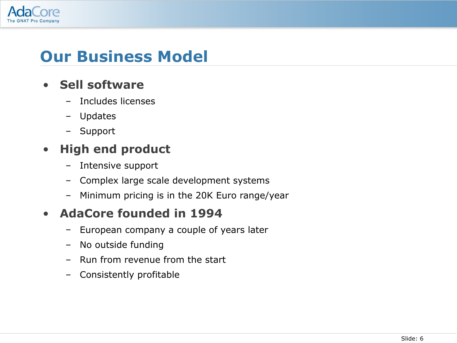

# **Our Business Model**

#### • **Sell software**

- Includes licenses
- Updates
- Support

#### • **High end product**

- Intensive support
- Complex large scale development systems
- Minimum pricing is in the 20K Euro range/year

### • **AdaCore founded in 1994**

- European company a couple of years later
- No outside funding
- Run from revenue from the start
- Consistently profitable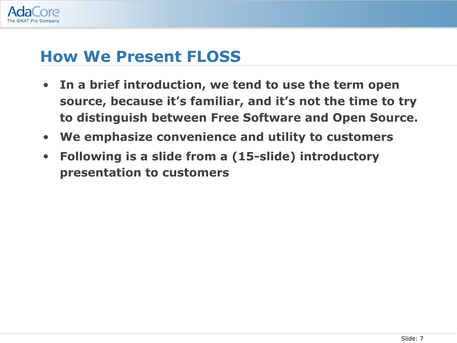

### **How We Present FLOSS**

- **In a brief introduction, we tend to use the term open source, because it's familiar, and it's not the time to try to distinguish between Free Software and Open Source.**
- **We emphasize convenience and utility to customers**
- **Following is a slide from a (15-slide) introductory presentation to customers**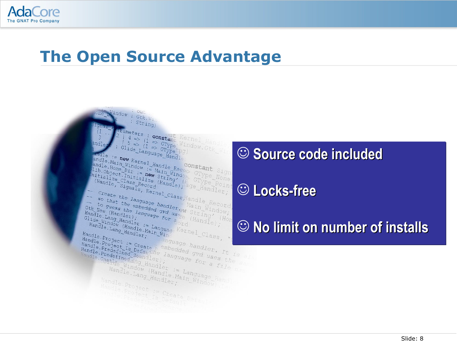

### **The Open Source Advantage**



**Source code included Source code included**

### **Locks-free Locks-free**

## **No limit on number of installs No limit on number of installs**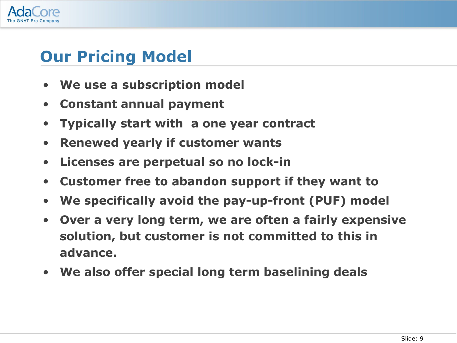

# **Our Pricing Model**

- **We use a subscription model**
- **Constant annual payment**
- **Typically start with a one year contract**
- **Renewed yearly if customer wants**
- **Licenses are perpetual so no lock-in**
- **Customer free to abandon support if they want to**
- **We specifically avoid the pay-up-front (PUF) model**
- **Over a very long term, we are often a fairly expensive solution, but customer is not committed to this in advance.**
- **We also offer special long term baselining deals**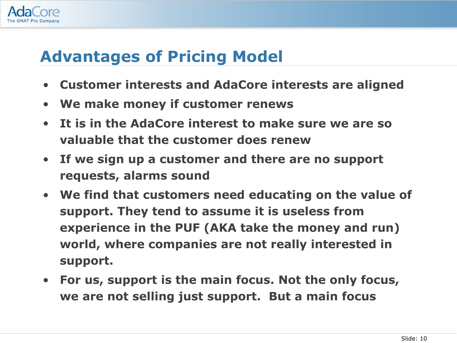

# **Advantages of Pricing Model**

- **Customer interests and AdaCore interests are aligned**
- **We make money if customer renews**
- **It is in the AdaCore interest to make sure we are so valuable that the customer does renew**
- **If we sign up a customer and there are no support requests, alarms sound**
- **We find that customers need educating on the value of support. They tend to assume it is useless from experience in the PUF (AKA take the money and run) world, where companies are not really interested in support.**
- **For us, support is the main focus. Not the only focus, we are not selling just support. But a main focus**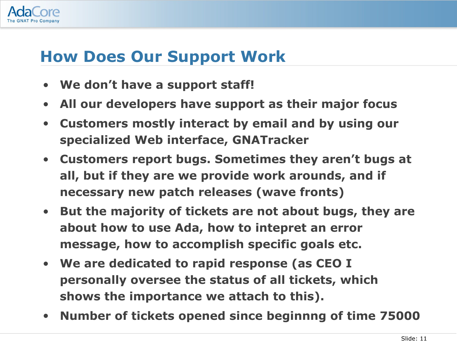

# **How Does Our Support Work**

- **We don't have a support staff!**
- **All our developers have support as their major focus**
- **Customers mostly interact by email and by using our specialized Web interface, GNATracker**
- **Customers report bugs. Sometimes they aren't bugs at all, but if they are we provide work arounds, and if necessary new patch releases (wave fronts)**
- **But the majority of tickets are not about bugs, they are about how to use Ada, how to intepret an error message, how to accomplish specific goals etc.**
- **We are dedicated to rapid response (as CEO I personally oversee the status of all tickets, which shows the importance we attach to this).**
- **Number of tickets opened since beginnng of time 75000**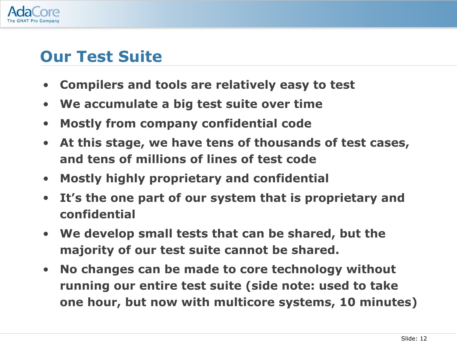

# **Our Test Suite**

- **Compilers and tools are relatively easy to test**
- **We accumulate a big test suite over time**
- **Mostly from company confidential code**
- **At this stage, we have tens of thousands of test cases, and tens of millions of lines of test code**
- **Mostly highly proprietary and confidential**
- **It's the one part of our system that is proprietary and confidential**
- **We develop small tests that can be shared, but the majority of our test suite cannot be shared.**
- **No changes can be made to core technology without running our entire test suite (side note: used to take one hour, but now with multicore systems, 10 minutes)**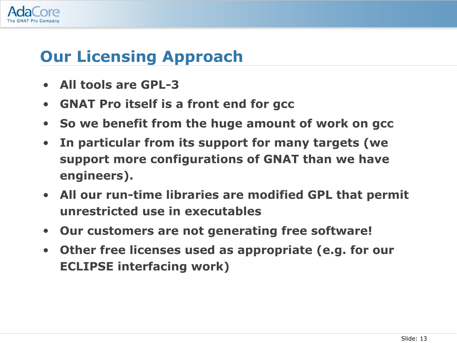

# **Our Licensing Approach**

- **All tools are GPL-3**
- **GNAT Pro itself is a front end for gcc**
- **So we benefit from the huge amount of work on gcc**
- **In particular from its support for many targets (we support more configurations of GNAT than we have engineers).**
- **All our run-time libraries are modified GPL that permit unrestricted use in executables**
- **Our customers are not generating free software!**
- **Other free licenses used as appropriate (e.g. for our ECLIPSE interfacing work)**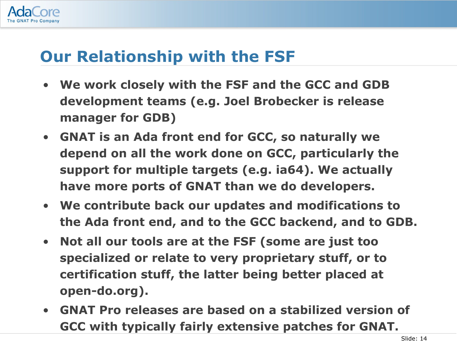

# **Our Relationship with the FSF**

- **We work closely with the FSF and the GCC and GDB development teams (e.g. Joel Brobecker is release manager for GDB)**
- **GNAT is an Ada front end for GCC, so naturally we depend on all the work done on GCC, particularly the support for multiple targets (e.g. ia64). We actually have more ports of GNAT than we do developers.**
- **We contribute back our updates and modifications to the Ada front end, and to the GCC backend, and to GDB.**
- **Not all our tools are at the FSF (some are just too specialized or relate to very proprietary stuff, or to certification stuff, the latter being better placed at open-do.org).**
- **GNAT Pro releases are based on a stabilized version of GCC with typically fairly extensive patches for GNAT.**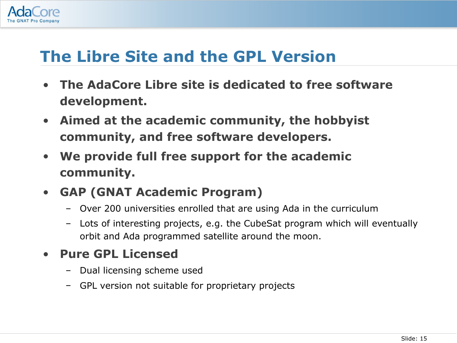

# **The Libre Site and the GPL Version**

- **The AdaCore Libre site is dedicated to free software development.**
- **Aimed at the academic community, the hobbyist community, and free software developers.**
- **We provide full free support for the academic community.**
- **GAP (GNAT Academic Program)**
	- Over 200 universities enrolled that are using Ada in the curriculum
	- Lots of interesting projects, e.g. the CubeSat program which will eventually orbit and Ada programmed satellite around the moon.

#### • **Pure GPL Licensed**

- Dual licensing scheme used
- GPL version not suitable for proprietary projects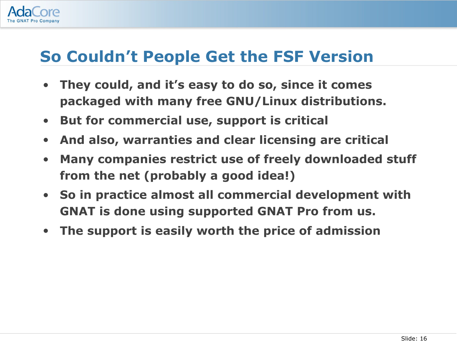

# **So Couldn't People Get the FSF Version**

- **They could, and it's easy to do so, since it comes packaged with many free GNU/Linux distributions.**
- **But for commercial use, support is critical**
- **And also, warranties and clear licensing are critical**
- **Many companies restrict use of freely downloaded stuff from the net (probably a good idea!)**
- **So in practice almost all commercial development with GNAT is done using supported GNAT Pro from us.**
- **The support is easily worth the price of admission**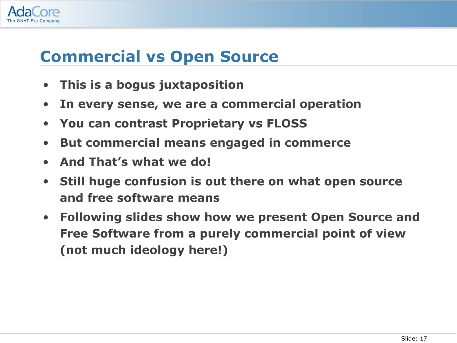

## **Commercial vs Open Source**

- **This is a bogus juxtaposition**
- **In every sense, we are a commercial operation**
- **You can contrast Proprietary vs FLOSS**
- **But commercial means engaged in commerce**
- **And That's what we do!**
- **Still huge confusion is out there on what open source and free software means**
- **Following slides show how we present Open Source and Free Software from a purely commercial point of view (not much ideology here!)**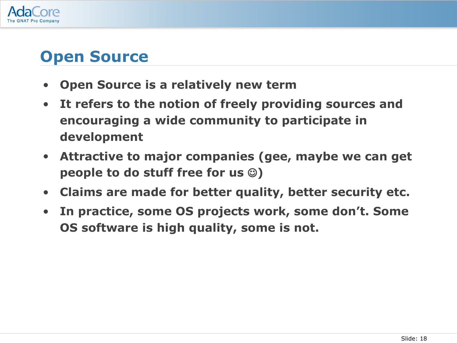

# **Open Source**

- **Open Source is a relatively new term**
- **It refers to the notion of freely providing sources and encouraging a wide community to participate in development**
- **Attractive to major companies (gee, maybe we can get people to do stuff free for us )**
- **Claims are made for better quality, better security etc.**
- **In practice, some OS projects work, some don't. Some OS software is high quality, some is not.**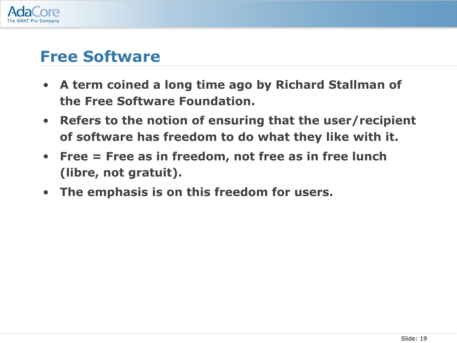

### **Free Software**

- **A term coined a long time ago by Richard Stallman of the Free Software Foundation.**
- **Refers to the notion of ensuring that the user/recipient of software has freedom to do what they like with it.**
- **Free = Free as in freedom, not free as in free lunch (libre, not gratuit).**
- **The emphasis is on this freedom for users.**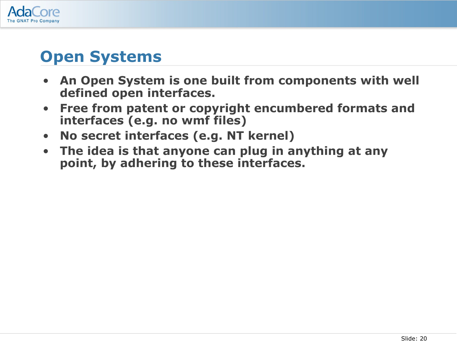

# **Open Systems**

- **An Open System is one built from components with well defined open interfaces.**
- **Free from patent or copyright encumbered formats and interfaces (e.g. no wmf files)**
- **No secret interfaces (e.g. NT kernel)**
- **The idea is that anyone can plug in anything at any point, by adhering to these interfaces.**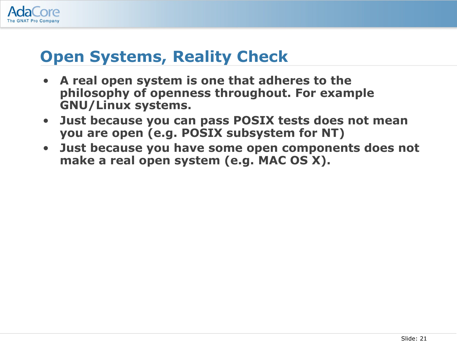

# **Open Systems, Reality Check**

- **A real open system is one that adheres to the philosophy of openness throughout. For example GNU/Linux systems.**
- **Just because you can pass POSIX tests does not mean you are open (e.g. POSIX subsystem for NT)**
- **Just because you have some open components does not make a real open system (e.g. MAC OS X).**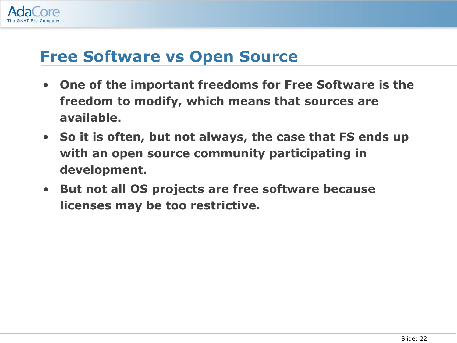

# **Free Software vs Open Source**

- **One of the important freedoms for Free Software is the freedom to modify, which means that sources are available.**
- **So it is often, but not always, the case that FS ends up with an open source community participating in development.**
- **But not all OS projects are free software because licenses may be too restrictive.**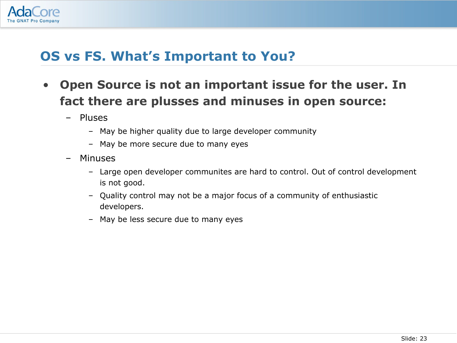

### **OS vs FS. What's Important to You?**

- **Open Source is not an important issue for the user. In fact there are plusses and minuses in open source:**
	- Pluses
		- May be higher quality due to large developer community
		- May be more secure due to many eyes
	- Minuses
		- Large open developer communites are hard to control. Out of control development is not good.
		- Quality control may not be a major focus of a community of enthusiastic developers.
		- May be less secure due to many eyes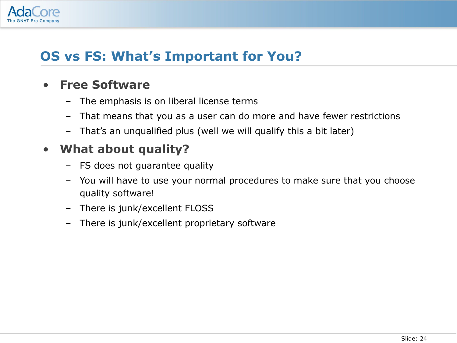

### **OS vs FS: What's Important for You?**

#### • **Free Software**

- The emphasis is on liberal license terms
- That means that you as a user can do more and have fewer restrictions
- That's an unqualified plus (well we will qualify this a bit later)

#### • **What about quality?**

- FS does not guarantee quality
- You will have to use your normal procedures to make sure that you choose quality software!
- There is junk/excellent FLOSS
- There is junk/excellent proprietary software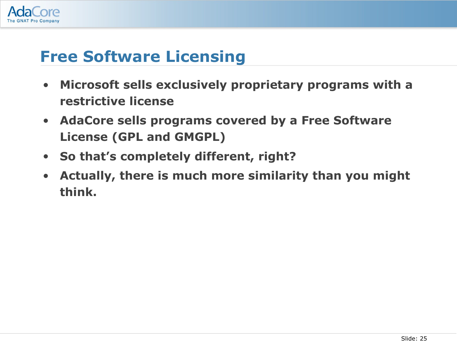

# **Free Software Licensing**

- **Microsoft sells exclusively proprietary programs with a restrictive license**
- **AdaCore sells programs covered by a Free Software License (GPL and GMGPL)**
- **So that's completely different, right?**
- **Actually, there is much more similarity than you might think.**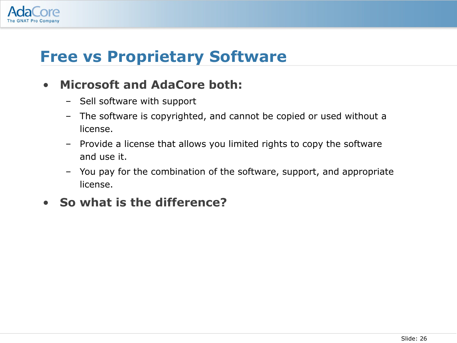

# **Free vs Proprietary Software**

#### • **Microsoft and AdaCore both:**

- Sell software with support
- The software is copyrighted, and cannot be copied or used without a license.
- Provide a license that allows you limited rights to copy the software and use it.
- You pay for the combination of the software, support, and appropriate license.

#### • **So what is the difference?**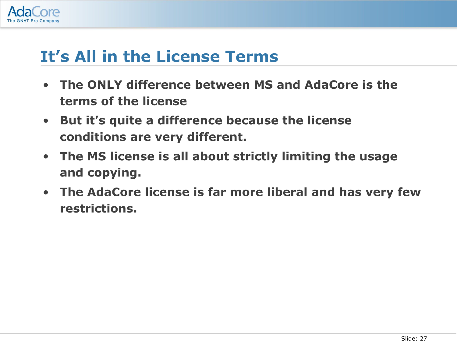

## **It's All in the License Terms**

- **The ONLY difference between MS and AdaCore is the terms of the license**
- **But it's quite a difference because the license conditions are very different.**
- **The MS license is all about strictly limiting the usage and copying.**
- **The AdaCore license is far more liberal and has very few restrictions.**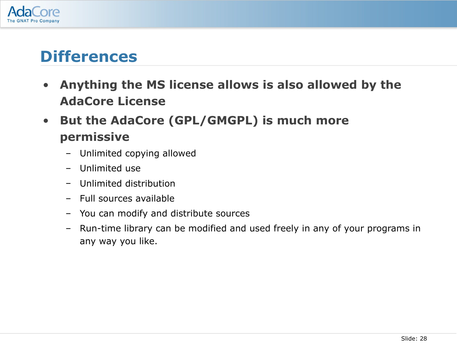

### **Differences**

- **Anything the MS license allows is also allowed by the AdaCore License**
- **But the AdaCore (GPL/GMGPL) is much more permissive**
	- Unlimited copying allowed
	- Unlimited use
	- Unlimited distribution
	- Full sources available
	- You can modify and distribute sources
	- Run-time library can be modified and used freely in any of your programs in any way you like.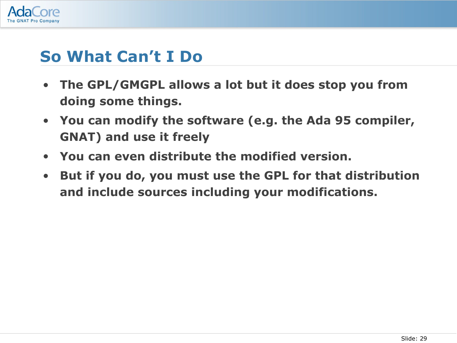

# **So What Can't I Do**

- **The GPL/GMGPL allows a lot but it does stop you from doing some things.**
- **You can modify the software (e.g. the Ada 95 compiler, GNAT) and use it freely**
- **You can even distribute the modified version.**
- **But if you do, you must use the GPL for that distribution and include sources including your modifications.**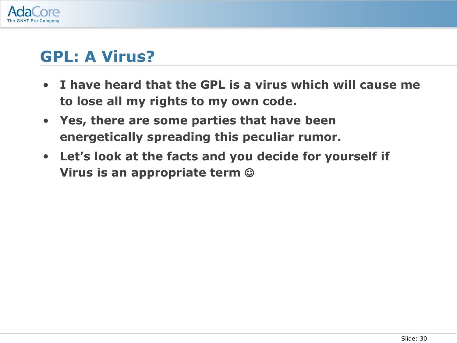

## **GPL: A Virus?**

- **I have heard that the GPL is a virus which will cause me to lose all my rights to my own code.**
- **Yes, there are some parties that have been energetically spreading this peculiar rumor.**
- **Let's look at the facts and you decide for yourself if Virus is an appropriate term**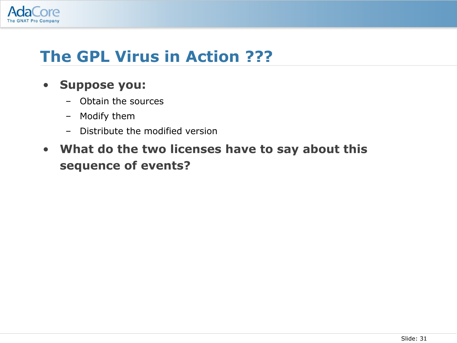

# **The GPL Virus in Action ???**

#### • **Suppose you:**

- Obtain the sources
- Modify them
- Distribute the modified version
- **What do the two licenses have to say about this sequence of events?**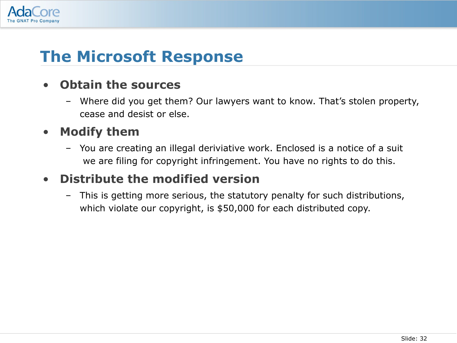

# **The Microsoft Response**

#### • **Obtain the sources**

– Where did you get them? Our lawyers want to know. That's stolen property, cease and desist or else.

#### • **Modify them**

– You are creating an illegal deriviative work. Enclosed is a notice of a suit we are filing for copyright infringement. You have no rights to do this.

#### • **Distribute the modified version**

– This is getting more serious, the statutory penalty for such distributions, which violate our copyright, is \$50,000 for each distributed copy.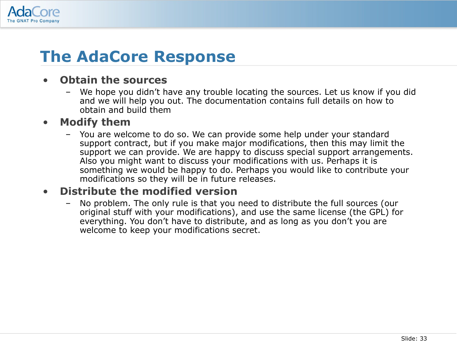

# **The AdaCore Response**

#### • **Obtain the sources**

– We hope you didn't have any trouble locating the sources. Let us know if you did and we will help you out. The documentation contains full details on how to obtain and build them

#### • **Modify them**

– You are welcome to do so. We can provide some help under your standard support contract, but if you make major modifications, then this may limit the support we can provide. We are happy to discuss special support arrangements. Also you might want to discuss your modifications with us. Perhaps it is something we would be happy to do. Perhaps you would like to contribute your modifications so they will be in future releases.

#### • **Distribute the modified version**

– No problem. The only rule is that you need to distribute the full sources (our original stuff with your modifications), and use the same license (the GPL) for everything. You don't have to distribute, and as long as you don't you are welcome to keep your modifications secret.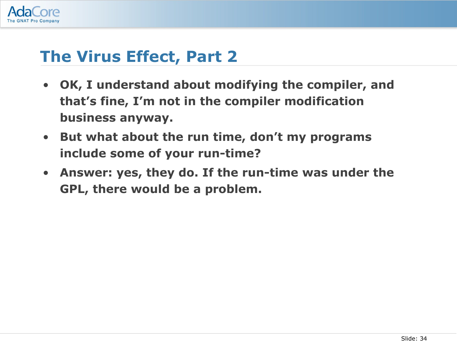

# **The Virus Effect, Part 2**

- **OK, I understand about modifying the compiler, and that's fine, I'm not in the compiler modification business anyway.**
- **But what about the run time, don't my programs include some of your run-time?**
- **Answer: yes, they do. If the run-time was under the GPL, there would be a problem.**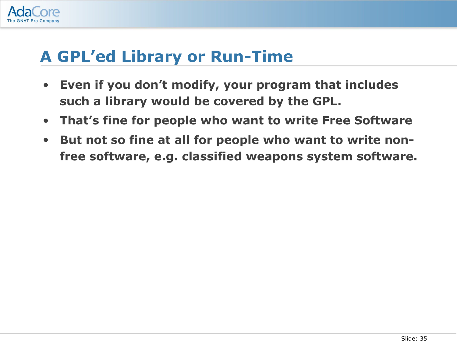

# **A GPL'ed Library or Run-Time**

- **Even if you don't modify, your program that includes such a library would be covered by the GPL.**
- **That's fine for people who want to write Free Software**
- **But not so fine at all for people who want to write nonfree software, e.g. classified weapons system software.**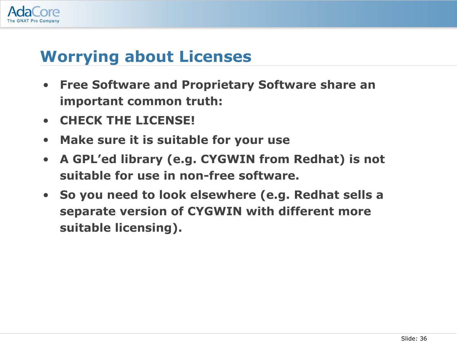

# **Worrying about Licenses**

- **Free Software and Proprietary Software share an important common truth:**
- **CHECK THE LICENSE!**
- **Make sure it is suitable for your use**
- **A GPL'ed library (e.g. CYGWIN from Redhat) is not suitable for use in non-free software.**
- **So you need to look elsewhere (e.g. Redhat sells a separate version of CYGWIN with different more suitable licensing).**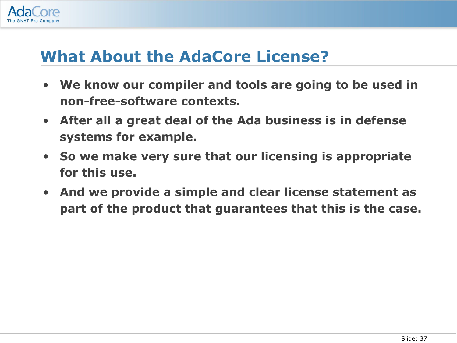

## **What About the AdaCore License?**

- **We know our compiler and tools are going to be used in non-free-software contexts.**
- **After all a great deal of the Ada business is in defense systems for example.**
- **So we make very sure that our licensing is appropriate for this use.**
- **And we provide a simple and clear license statement as part of the product that guarantees that this is the case.**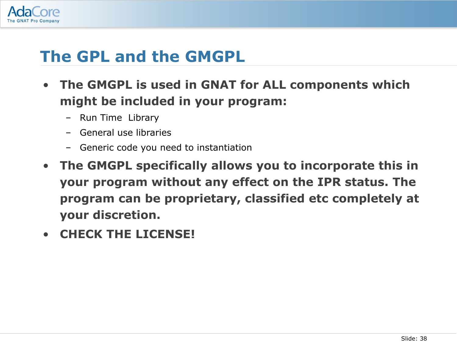

# **The GPL and the GMGPL**

- **The GMGPL is used in GNAT for ALL components which might be included in your program:**
	- Run Time Library
	- General use libraries
	- Generic code you need to instantiation
- **The GMGPL specifically allows you to incorporate this in your program without any effect on the IPR status. The program can be proprietary, classified etc completely at your discretion.**
- **CHECK THE LICENSE!**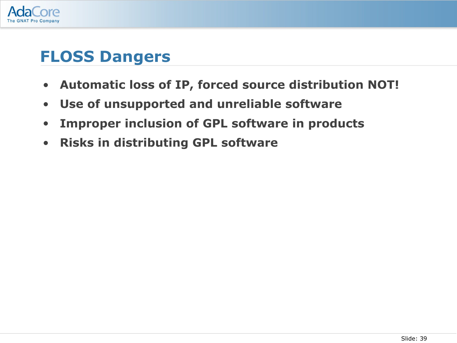

## **FLOSS Dangers**

- **Automatic loss of IP, forced source distribution NOT!**
- **Use of unsupported and unreliable software**
- **Improper inclusion of GPL software in products**
- **Risks in distributing GPL software**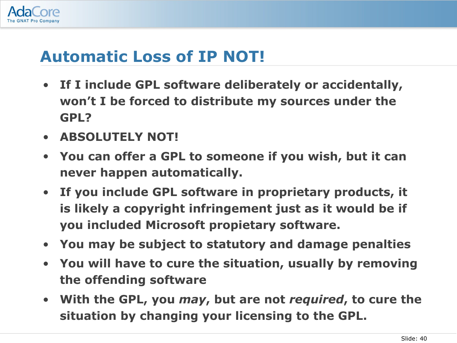

# **Automatic Loss of IP NOT!**

- **If I include GPL software deliberately or accidentally, won't I be forced to distribute my sources under the GPL?**
- **ABSOLUTELY NOT!**
- **You can offer a GPL to someone if you wish, but it can never happen automatically.**
- **If you include GPL software in proprietary products, it is likely a copyright infringement just as it would be if you included Microsoft propietary software.**
- **You may be subject to statutory and damage penalties**
- **You will have to cure the situation, usually by removing the offending software**
- **With the GPL, you** *may***, but are not** *required***, to cure the situation by changing your licensing to the GPL.**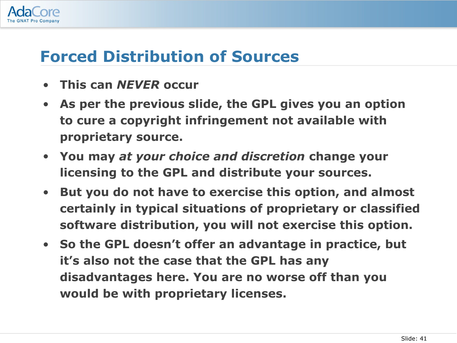

# **Forced Distribution of Sources**

- **This can** *NEVER* **occur**
- **As per the previous slide, the GPL gives you an option to cure a copyright infringement not available with proprietary source.**
- **You may** *at your choice and discretion* **change your licensing to the GPL and distribute your sources.**
- **But you do not have to exercise this option, and almost certainly in typical situations of proprietary or classified software distribution, you will not exercise this option.**
- **So the GPL doesn't offer an advantage in practice, but it's also not the case that the GPL has any disadvantages here. You are no worse off than you would be with proprietary licenses.**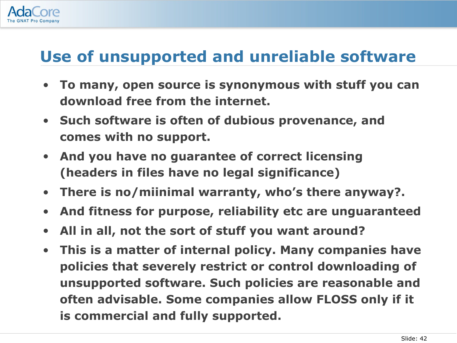

# **Use of unsupported and unreliable software**

- **To many, open source is synonymous with stuff you can download free from the internet.**
- **Such software is often of dubious provenance, and comes with no support.**
- **And you have no guarantee of correct licensing (headers in files have no legal significance)**
- **There is no/miinimal warranty, who's there anyway?.**
- **And fitness for purpose, reliability etc are unguaranteed**
- **All in all, not the sort of stuff you want around?**
- **This is a matter of internal policy. Many companies have policies that severely restrict or control downloading of unsupported software. Such policies are reasonable and often advisable. Some companies allow FLOSS only if it is commercial and fully supported.**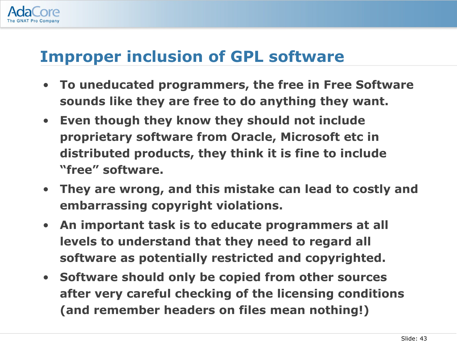

# **Improper inclusion of GPL software**

- **To uneducated programmers, the free in Free Software sounds like they are free to do anything they want.**
- **Even though they know they should not include proprietary software from Oracle, Microsoft etc in distributed products, they think it is fine to include "free" software.**
- **They are wrong, and this mistake can lead to costly and embarrassing copyright violations.**
- **An important task is to educate programmers at all levels to understand that they need to regard all software as potentially restricted and copyrighted.**
- **Software should only be copied from other sources after very careful checking of the licensing conditions (and remember headers on files mean nothing!)**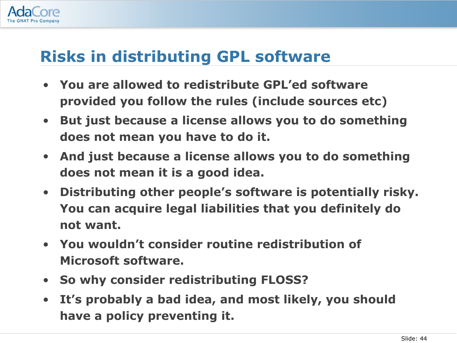

# **Risks in distributing GPL software**

- **You are allowed to redistribute GPL'ed software provided you follow the rules (include sources etc)**
- **But just because a license allows you to do something does not mean you have to do it.**
- **And just because a license allows you to do something does not mean it is a good idea.**
- **Distributing other people's software is potentially risky. You can acquire legal liabilities that you definitely do not want.**
- **You wouldn't consider routine redistribution of Microsoft software.**
- **So why consider redistributing FLOSS?**
- **It's probably a bad idea, and most likely, you should have a policy preventing it.**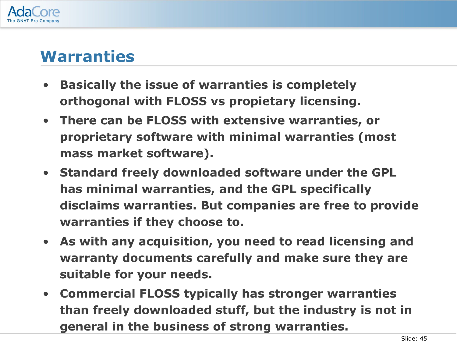

### **Warranties**

- **Basically the issue of warranties is completely orthogonal with FLOSS vs propietary licensing.**
- **There can be FLOSS with extensive warranties, or proprietary software with minimal warranties (most mass market software).**
- **Standard freely downloaded software under the GPL has minimal warranties, and the GPL specifically disclaims warranties. But companies are free to provide warranties if they choose to.**
- **As with any acquisition, you need to read licensing and warranty documents carefully and make sure they are suitable for your needs.**
- **Commercial FLOSS typically has stronger warranties than freely downloaded stuff, but the industry is not in general in the business of strong warranties.**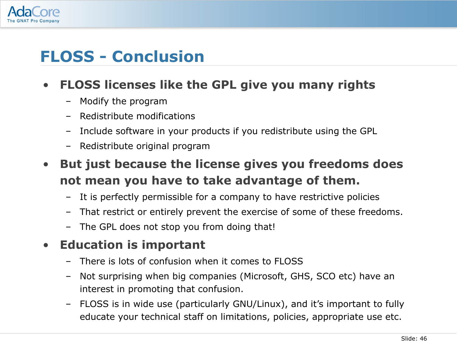

# **FLOSS - Conclusion**

#### • **FLOSS licenses like the GPL give you many rights**

- Modify the program
- Redistribute modifications
- Include software in your products if you redistribute using the GPL
- Redistribute original program
- **But just because the license gives you freedoms does not mean you have to take advantage of them.**
	- It is perfectly permissible for a company to have restrictive policies
	- That restrict or entirely prevent the exercise of some of these freedoms.
	- The GPL does not stop you from doing that!

#### • **Education is important**

- There is lots of confusion when it comes to FLOSS
- Not surprising when big companies (Microsoft, GHS, SCO etc) have an interest in promoting that confusion.
- FLOSS is in wide use (particularly GNU/Linux), and it's important to fully educate your technical staff on limitations, policies, appropriate use etc.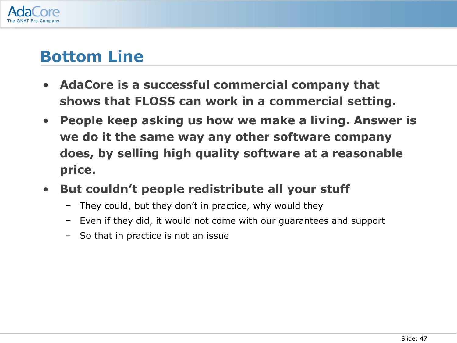

## **Bottom Line**

- **AdaCore is a successful commercial company that shows that FLOSS can work in a commercial setting.**
- **People keep asking us how we make a living. Answer is we do it the same way any other software company does, by selling high quality software at a reasonable price.**
- **But couldn't people redistribute all your stuff**
	- They could, but they don't in practice, why would they
	- Even if they did, it would not come with our guarantees and support
	- So that in practice is not an issue